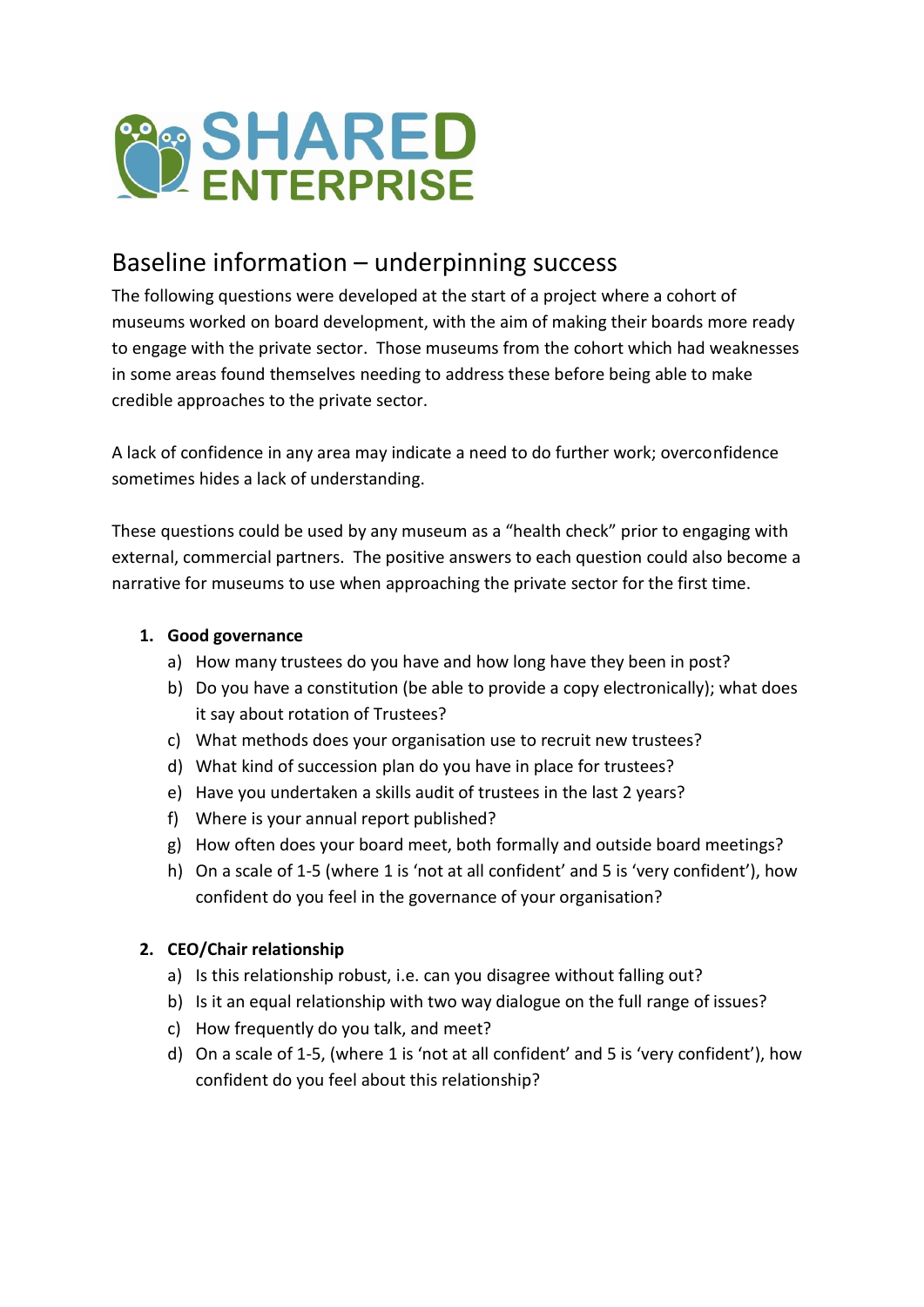

# Baseline information – underpinning success

The following questions were developed at the start of a project where a cohort of museums worked on board development, with the aim of making their boards more ready to engage with the private sector. Those museums from the cohort which had weaknesses in some areas found themselves needing to address these before being able to make credible approaches to the private sector.

A lack of confidence in any area may indicate a need to do further work; overconfidence sometimes hides a lack of understanding.

These questions could be used by any museum as a "health check" prior to engaging with external, commercial partners. The positive answers to each question could also become a narrative for museums to use when approaching the private sector for the first time.

# **1. Good governance**

- a) How many trustees do you have and how long have they been in post?
- b) Do you have a constitution (be able to provide a copy electronically); what does it say about rotation of Trustees?
- c) What methods does your organisation use to recruit new trustees?
- d) What kind of succession plan do you have in place for trustees?
- e) Have you undertaken a skills audit of trustees in the last 2 years?
- f) Where is your annual report published?
- g) How often does your board meet, both formally and outside board meetings?
- h) On a scale of 1-5 (where 1 is 'not at all confident' and 5 is 'very confident'), how confident do you feel in the governance of your organisation?

# **2. CEO/Chair relationship**

- a) Is this relationship robust, i.e. can you disagree without falling out?
- b) Is it an equal relationship with two way dialogue on the full range of issues?
- c) How frequently do you talk, and meet?
- d) On a scale of 1-5, (where 1 is 'not at all confident' and 5 is 'very confident'), how confident do you feel about this relationship?